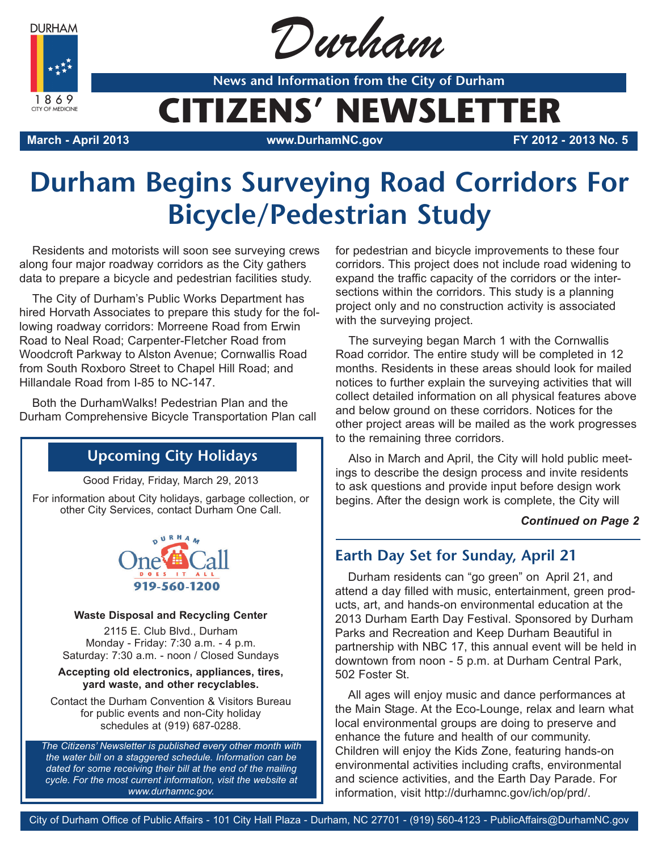**DURHAM** 



Durham

**News and Information from the City of Durham**

# **CITIZENS' NEWSLETTER**

**March - April 2013 www.DurhamNC.gov FY 2012 - 2013 No. 5**

# **Durham Begins Surveying Road Corridors For Bicycle/Pedestrian Study**

Residents and motorists will soon see surveying crews along four major roadway corridors as the City gathers data to prepare a bicycle and pedestrian facilities study.

The City of Durham's Public Works Department has hired Horvath Associates to prepare this study for the following roadway corridors: Morreene Road from Erwin Road to Neal Road; Carpenter-Fletcher Road from Woodcroft Parkway to Alston Avenue; Cornwallis Road from South Roxboro Street to Chapel Hill Road; and Hillandale Road from I-85 to NC-147.

Both the DurhamWalks! Pedestrian Plan and the Durham Comprehensive Bicycle Transportation Plan call

## **Upcoming City Holidays**

Good Friday, Friday, March 29, 2013

For information about City holidays, garbage collection, or other City Services, contact Durham One Call.



#### **Waste Disposal and Recycling Center**

2115 E. Club Blvd., Durham Monday - Friday: 7:30 a.m. - 4 p.m. Saturday: 7:30 a.m. - noon / Closed Sundays

#### **Accepting old electronics, appliances, tires, yard waste, and other recyclables.**

Contact the Durham Convention & Visitors Bureau for public events and non-City holiday schedules at (919) 687-0288.

*The Citizens' Newsletter is published every other month with the water bill on a staggered schedule. Information can be dated for some receiving their bill at the end of the mailing cycle. For the most current information, visit the website at www.durhamnc.gov.*

for pedestrian and bicycle improvements to these four corridors. This project does not include road widening to expand the traffic capacity of the corridors or the intersections within the corridors. This study is a planning project only and no construction activity is associated with the surveying project.

The surveying began March 1 with the Cornwallis Road corridor. The entire study will be completed in 12 months. Residents in these areas should look for mailed notices to further explain the surveying activities that will collect detailed information on all physical features above and below ground on these corridors. Notices for the other project areas will be mailed as the work progresses to the remaining three corridors.

Also in March and April, the City will hold public meetings to describe the design process and invite residents to ask questions and provide input before design work begins. After the design work is complete, the City will

#### *Continued on Page 2*

## **Earth Day Set for Sunday, April 21**

Durham residents can "go green" on April 21, and attend a day filled with music, entertainment, green products, art, and hands-on environmental education at the 2013 Durham Earth Day Festival. Sponsored by Durham Parks and Recreation and Keep Durham Beautiful in partnership with NBC 17, this annual event will be held in downtown from noon - 5 p.m. at Durham Central Park, 502 Foster St.

All ages will enjoy music and dance performances at the Main Stage. At the Eco-Lounge, relax and learn what local environmental groups are doing to preserve and enhance the future and health of our community. Children will enjoy the Kids Zone, featuring hands-on environmental activities including crafts, environmental and science activities, and the Earth Day Parade. For information, visit http://durhamnc.gov/ich/op/prd/.